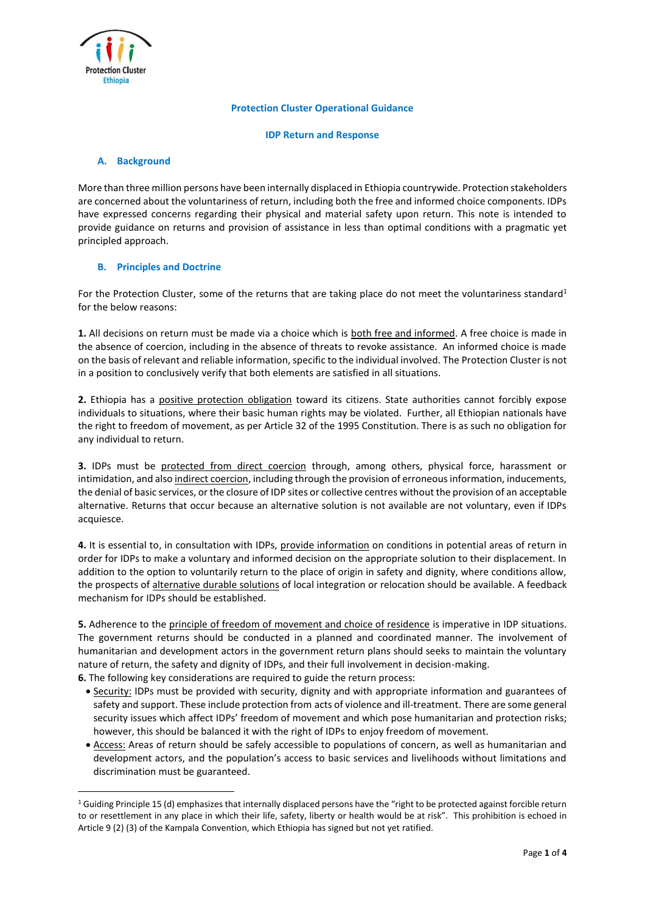

## **Protection Cluster Operational Guidance**

**IDP Return and Response**

# **A. Background**

 $\overline{a}$ 

More than three million persons have been internally displaced in Ethiopia countrywide. Protection stakeholders are concerned about the voluntariness of return, including both the free and informed choice components. IDPs have expressed concerns regarding their physical and material safety upon return. This note is intended to provide guidance on returns and provision of assistance in less than optimal conditions with a pragmatic yet principled approach.

## **B. Principles and Doctrine**

For the Protection Cluster, some of the returns that are taking place do not meet the voluntariness standard<sup>1</sup> for the below reasons:

**1.** All decisions on return must be made via a choice which is both free and informed. A free choice is made in the absence of coercion, including in the absence of threats to revoke assistance. An informed choice is made on the basis of relevant and reliable information, specific to the individual involved. The Protection Cluster is not in a position to conclusively verify that both elements are satisfied in all situations.

**2.** Ethiopia has a positive protection obligation toward its citizens. State authorities cannot forcibly expose individuals to situations, where their basic human rights may be violated. Further, all Ethiopian nationals have the right to freedom of movement, as per Article 32 of the 1995 Constitution. There is as such no obligation for any individual to return.

**3.** IDPs must be protected from direct coercion through, among others, physical force, harassment or intimidation, and also indirect coercion, including through the provision of erroneous information, inducements, the denial of basic services, or the closure of IDP sites or collective centres without the provision of an acceptable alternative. Returns that occur because an alternative solution is not available are not voluntary, even if IDPs acquiesce.

**4.** It is essential to, in consultation with IDPs, provide information on conditions in potential areas of return in order for IDPs to make a voluntary and informed decision on the appropriate solution to their displacement. In addition to the option to voluntarily return to the place of origin in safety and dignity, where conditions allow, the prospects of alternative durable solutions of local integration or relocation should be available. A feedback mechanism for IDPs should be established.

**5.** Adherence to the principle of freedom of movement and choice of residence is imperative in IDP situations. The government returns should be conducted in a planned and coordinated manner. The involvement of humanitarian and development actors in the government return plans should seeks to maintain the voluntary nature of return, the safety and dignity of IDPs, and their full involvement in decision-making.

**6.** The following key considerations are required to guide the return process:

- Security: IDPs must be provided with security, dignity and with appropriate information and guarantees of safety and support. These include protection from acts of violence and ill-treatment. There are some general security issues which affect IDPs' freedom of movement and which pose humanitarian and protection risks; however, this should be balanced it with the right of IDPs to enjoy freedom of movement.
- Access: Areas of return should be safely accessible to populations of concern, as well as humanitarian and development actors, and the population's access to basic services and livelihoods without limitations and discrimination must be guaranteed.

 $1$  Guiding Principle 15 (d) emphasizes that internally displaced persons have the "right to be protected against forcible return to or resettlement in any place in which their life, safety, liberty or health would be at risk". This prohibition is echoed in Article 9 (2) (3) of the Kampala Convention, which Ethiopia has signed but not yet ratified.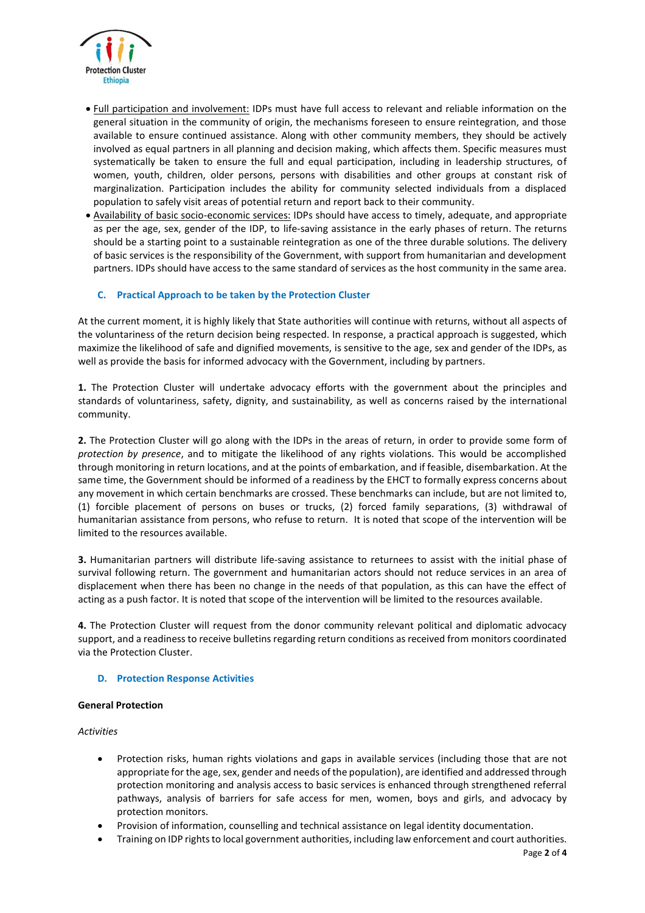

- Full participation and involvement: IDPs must have full access to relevant and reliable information on the general situation in the community of origin, the mechanisms foreseen to ensure reintegration, and those available to ensure continued assistance. Along with other community members, they should be actively involved as equal partners in all planning and decision making, which affects them. Specific measures must systematically be taken to ensure the full and equal participation, including in leadership structures, of women, youth, children, older persons, persons with disabilities and other groups at constant risk of marginalization. Participation includes the ability for community selected individuals from a displaced population to safely visit areas of potential return and report back to their community.
- Availability of basic socio-economic services: IDPs should have access to timely, adequate, and appropriate as per the age, sex, gender of the IDP, to life-saving assistance in the early phases of return. The returns should be a starting point to a sustainable reintegration as one of the three durable solutions. The delivery of basic services is the responsibility of the Government, with support from humanitarian and development partners. IDPs should have access to the same standard of services as the host community in the same area.

# **C. Practical Approach to be taken by the Protection Cluster**

At the current moment, it is highly likely that State authorities will continue with returns, without all aspects of the voluntariness of the return decision being respected. In response, a practical approach is suggested, which maximize the likelihood of safe and dignified movements, is sensitive to the age, sex and gender of the IDPs, as well as provide the basis for informed advocacy with the Government, including by partners.

**1.** The Protection Cluster will undertake advocacy efforts with the government about the principles and standards of voluntariness, safety, dignity, and sustainability, as well as concerns raised by the international community.

**2.** The Protection Cluster will go along with the IDPs in the areas of return, in order to provide some form of *protection by presence*, and to mitigate the likelihood of any rights violations. This would be accomplished through monitoring in return locations, and at the points of embarkation, and if feasible, disembarkation. At the same time, the Government should be informed of a readiness by the EHCT to formally express concerns about any movement in which certain benchmarks are crossed. These benchmarks can include, but are not limited to, (1) forcible placement of persons on buses or trucks, (2) forced family separations, (3) withdrawal of humanitarian assistance from persons, who refuse to return. It is noted that scope of the intervention will be limited to the resources available.

**3.** Humanitarian partners will distribute life-saving assistance to returnees to assist with the initial phase of survival following return. The government and humanitarian actors should not reduce services in an area of displacement when there has been no change in the needs of that population, as this can have the effect of acting as a push factor. It is noted that scope of the intervention will be limited to the resources available.

**4.** The Protection Cluster will request from the donor community relevant political and diplomatic advocacy support, and a readiness to receive bulletins regarding return conditions as received from monitors coordinated via the Protection Cluster.

# **D. Protection Response Activities**

## **General Protection**

*Activities* 

- Protection risks, human rights violations and gaps in available services (including those that are not appropriate for the age, sex, gender and needs of the population), are identified and addressed through protection monitoring and analysis access to basic services is enhanced through strengthened referral pathways, analysis of barriers for safe access for men, women, boys and girls, and advocacy by protection monitors.
- Provision of information, counselling and technical assistance on legal identity documentation.
- Training on IDP rights to local government authorities, including law enforcement and court authorities.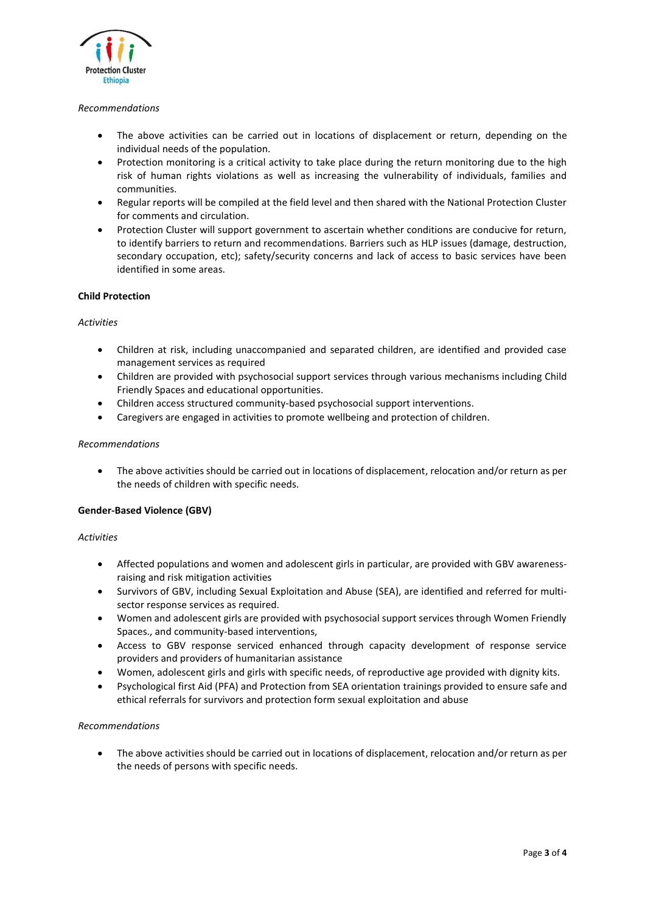

# *Recommendations*

- The above activities can be carried out in locations of displacement or return, depending on the individual needs of the population.
- Protection monitoring is a critical activity to take place during the return monitoring due to the high risk of human rights violations as well as increasing the vulnerability of individuals, families and communities.
- Regular reports will be compiled at the field level and then shared with the National Protection Cluster for comments and circulation.
- Protection Cluster will support government to ascertain whether conditions are conducive for return, to identify barriers to return and recommendations. Barriers such as HLP issues (damage, destruction, secondary occupation, etc); safety/security concerns and lack of access to basic services have been identified in some areas.

## **Child Protection**

## *Activities*

- Children at risk, including unaccompanied and separated children, are identified and provided case management services as required
- Children are provided with psychosocial support services through various mechanisms including Child Friendly Spaces and educational opportunities.
- Children access structured community-based psychosocial support interventions.
- Caregivers are engaged in activities to promote wellbeing and protection of children.

## *Recommendations*

• The above activities should be carried out in locations of displacement, relocation and/or return as per the needs of children with specific needs.

# **Gender-Based Violence (GBV)**

## *Activities*

- Affected populations and women and adolescent girls in particular, are provided with GBV awarenessraising and risk mitigation activities
- Survivors of GBV, including Sexual Exploitation and Abuse (SEA), are identified and referred for multisector response services as required.
- Women and adolescent girls are provided with psychosocial support services through Women Friendly Spaces., and community-based interventions,
- Access to GBV response serviced enhanced through capacity development of response service providers and providers of humanitarian assistance
- Women, adolescent girls and girls with specific needs, of reproductive age provided with dignity kits.
- Psychological first Aid (PFA) and Protection from SEA orientation trainings provided to ensure safe and ethical referrals for survivors and protection form sexual exploitation and abuse

## *Recommendations*

• The above activities should be carried out in locations of displacement, relocation and/or return as per the needs of persons with specific needs.